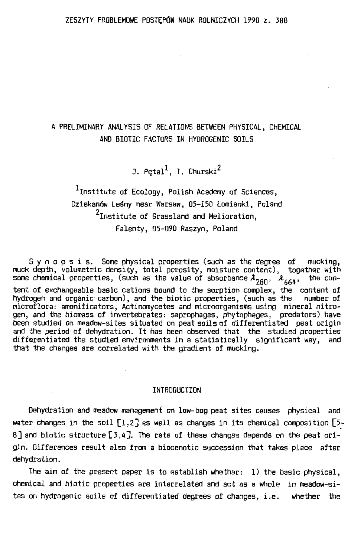# A PRELIMINARY ANALYSIS OF RELATIONS BETWEEN PHYSICAL, CHEMICAL AND BIOTIC FACTORS IN HYORDGENIC SOILS

J. Petal $^1$ . T. Churski $^2$ 

 $<sup>1</sup>$ Institute of Ecology, Polish Academy of Sciences,</sup> Dziekanów Leśny near Warsaw, 05-150 Łomianki, Poland <sup>2</sup>Institute of Grassland and Melioration, Falenty, 05-090 Raszyn, Poland

Synopsis. Same physical properties (such as the degree of mucking, muck depth, volumetric density, total porosity, moisture content), together with some chemical properties, (such as the value of absorbance  $\lambda_{280}$ ,  $\lambda_{664},$  the content of exchangeable basie cations bound to the sorption complex, the content of hydrogen and organie carbon), and the biotic properties, (such as the number of microflora: amonificators, Actinomycetes and microorganisms using minerał nitrogen, and the biomass of invertebrates: saprophages, phytophages, predators) have and the period of dehydration. It has been observed that the studied properties differentiated the studied environments in a statistically significant **way,** and that the changes are correlated with the gradient of mucking.

#### INTRODUCTION

Oehydration and meadow management on low-beg peat sites causes physical and water changes in the soil  $[1,2]$  as well as changes in its chemical composition  $[5-$ 8] and biotic structure [ 3, 4 ]. The rate of these changes depends on the peat origin. Differences result also from a biocenotic succession that takes place after dehydration.

The aim of the present paper is to establish whether:  $1)$  the basic physical, chemical and biotic properties are interrelated and act as a whole in meadow-sites on hydrogenic soils of differentiated degrees of changes, i.e. whether the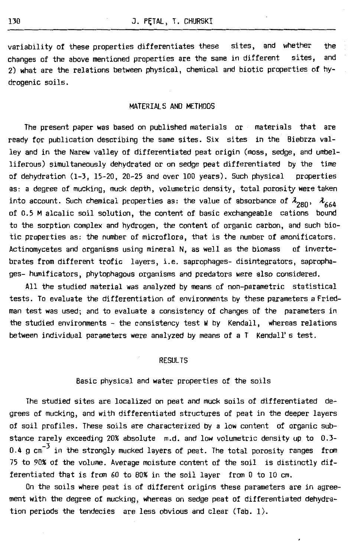variability of these properties differentiates these sites, and whether the changes of the above mentioned properties are the same in different sites, and 2) what are the relations between physical, chemical and biotic properties of hydrogenic soils.

#### MATERIALS ANO METHOOS

The present paper was based on published materials or materials that are ready for publication describing the same sites. Six sites in the Biebrza valley and in the Narew valley of differentiated peat origin (moss, sedge, and umbelliferous) simultaneously dehydrated or on sedge peat differentiated by the time of dehydration (1-3, 15-20, 20-25 and over 100 years). Such physical properties as: a degree of mucking, muck depth, volumetric density, total porosity were taken into account. Such chemical properties as: the value of absorbance of  $\lambda_{280}$ ,  $\lambda_{664}$ of 0.5 M alcalic soil solution, the content of basie exchangeable cations bound to the sorption complex and hydrogen, the content of organie carbon, and such biotic properties as: the number of microflora, that is the number of amonificators. Actinomycetes and organisms using minerał N, as well as the biomass of invertebrates from different trefie layers, i.e. saprophages- disintegrators, saprophages- humificators, phytophagous organisms and predators were also considered.

All the studied materiał was analyzed by means of non-parametric statistical tests. To evaluate the differentiation of environments by these parameters a Friedman test was used; and to evaluate a consistency of changes of the parameters in the studied environments - the consistency test W by Kendall, whereas relations between individual parameters were analyzed by means of a  $T$  Kendall's test.

#### RESULTS

## Basic physical and water properties of the soils

The studied sites are localized on peat and muck soils of differentiated degrees of mucking, and with differentiated structures of peat in the deeper layers of soil profiles. These soils are characterized by a low content of organie substance rarely exceeding 20% absolute m.d. and low volumetric density up to 0.3- 0.4 g cm<sup>-3</sup> in the strongly mucked layers of peat. The total porosity ranges from 75 to 90% of the volume. Average moisture content of the soil is distinctly differentiated that is from 60 to 80% in the soil layer from O to 10 cm.

On the soils where peat is of different origins these parameters are in agreement with the degree of mucking, whereas on sedge peat of differentiated dehydration periods the tendecies are less obvious and elear (Tab. 1).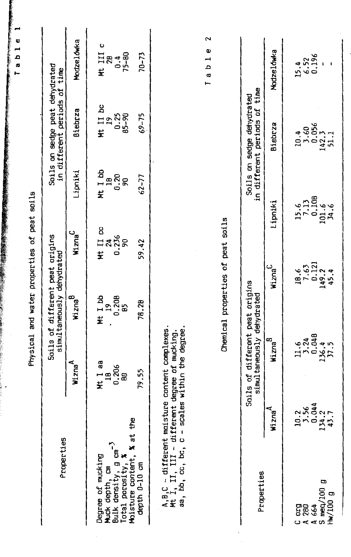|                                                                                                                                                    |                                                                       |                                                              | Physical and water properties of peat soils                  |                               |                                                                       |                                                                       |                                |
|----------------------------------------------------------------------------------------------------------------------------------------------------|-----------------------------------------------------------------------|--------------------------------------------------------------|--------------------------------------------------------------|-------------------------------|-----------------------------------------------------------------------|-----------------------------------------------------------------------|--------------------------------|
| Properties                                                                                                                                         |                                                                       |                                                              | Soils of different peat origins<br>simultaneously dehydrated |                               |                                                                       | Soils on sedge peat dehydrated<br>in different periods of time        |                                |
|                                                                                                                                                    |                                                                       | Wizna <sup>A</sup>                                           | Wizna <sup>B</sup>                                           | Wizna <sup>C</sup>            | Lipniki                                                               | <b>Biebrza</b>                                                        | Modzelówka                     |
| Muck depth, cm $^{-3}$<br>Bulk density, g cm $^{-3}$<br>Total porosity, %<br>Degree of mucking                                                     |                                                                       | Mt I aa<br>18<br>0.206<br>80                                 | Mt I bb<br>0.208<br>29<br>£                                  | Mt II cc<br>24<br>0.236<br>90 | Mt I bb<br>$18.20$<br>90.20                                           | Mt II bc<br>$\frac{19}{19}$<br>0.25<br>85-90                          | ပ<br>Nt III<br>$75 - 80$<br>28 |
| Moisture content, % at the<br>depth 0-10 cm                                                                                                        |                                                                       | 79.55                                                        | 78.28                                                        | 59.42                         | $62 - 77$                                                             | $69 - 75$                                                             | $70 - 73$                      |
| $A, B, C$ - different moisture content complexes.<br>Mt I, II, III - different degree of mucking.<br>aa, bb, cc, bc, c - scales within the degree. |                                                                       |                                                              |                                                              |                               |                                                                       |                                                                       | 2<br>Φ<br>$1a$ b $1$           |
|                                                                                                                                                    |                                                                       |                                                              | Chemical properties of peat soils                            |                               |                                                                       |                                                                       |                                |
| Properties                                                                                                                                         |                                                                       | Soils of different peat origins<br>simultaneously dehydrated |                                                              |                               |                                                                       | in different periods of time<br>Soils on sedge dehydrated             |                                |
|                                                                                                                                                    | Wizna <sup>A</sup>                                                    | Wizna <sup>8</sup>                                           |                                                              | Wizna <sup>C</sup>            | Lipniki                                                               | Biebrza                                                               | Modzelówka                     |
| œ<br>meq/100<br>Hw/100 g<br>ទីនិ<br>664<br>⊳ ت<br>⋖                                                                                                | $\begin{array}{c} 10.2 \\ 3.56 \\ 0.044 \\ 134.2 \\ 43.7 \end{array}$ | 3.24<br>0.048<br>11.6<br>136.4                               |                                                              | 18.6<br>7.63<br>149.2<br>45.4 | $\begin{array}{c} 15.6 \\ 7.13 \\ 0.108 \\ 101.6 \\ 34.6 \end{array}$ | $\begin{array}{c} 10.4 \\ 3.60 \\ 0.056 \\ 142.3 \\ 51.1 \end{array}$ | $15.4$<br>6.52<br>0.196        |

 $\frac{1}{2}$ 

T a b 1 **e 1**  a b 1 e 1 -'~!•.···~ ·!""~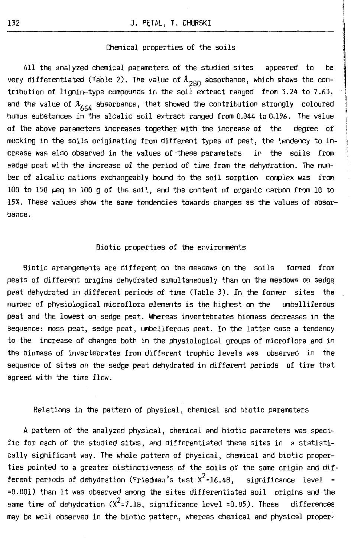#### Chemical properties of the soils

All the analyzed chemical parameters of the studied sites appeared to be very differentiated (Table 2). The value of  $\lambda_{280}$  absorbance, which shows the contribution of lignin-type compounds in the soil extract ranged from 3.24 to 7.63, and the value of  $\lambda_{664}$  absorbance, that showed the contribution strongly coloured humus substances in the alcalic soil extract ranged from 0.044 to 0.196. The value of the above parameters increases together with the increase of the degree of mucking in the soils originating from different types of peat, the tendency to increase was also observed in the values of·these parameters in the soils from sedge peat with the increase of the period of time from the dehydration. The number of alcalic cations exchangeably bound to the soil sorption complex was from 100 to 150 µeq in 100 g of the soil, and the content of organie carbon from 10 to 15% . These values show the same tendencies towards changes as the values of absorbance.

#### Biotic properties of the environments

Biotic arrangements are different on the meadows on the soils formed from peats of different origins dehydrated simultaneously than on the meadows on sedge peat dehydrated in different periods of time (Table 3). In the farmer sites the number of physiological microflora elements is the highest on the umbelliferous peat and the lowest on sedge peat. Whereas invertebrates biomass decreases in the sequence: mass peat, sedge peat, umbellferous peat. In the latter case a tendency to the increase of changes both in the physiological groups of microflora and in the biomass of invertebrates from different trophic levels was observed in the sequence of sites on the sedge peat dehydrated in different periods of time that agreed with the time flow.

Relations in the pattern of physical, chemical and biotic parameters

A pattern of the analyzed physical, chemical and biotic parameters was specific for each of the studied sites, and differentiated these sites in a statistically significant **way.** The whole pattern of physical, chemical and biotic properties pointed to a greater distinctiveness of the soils of the same origin and different periods of dehydration (Friedman's test  $x^2$ =16.48, significance level = =0.001) than it was observed among the sites differentiated soil origins and the same time of dehydration ( $X^2$ =7.18, significance level =0.05). These differences may be well observed in the biotic pattern, whereas chemical and physical proper-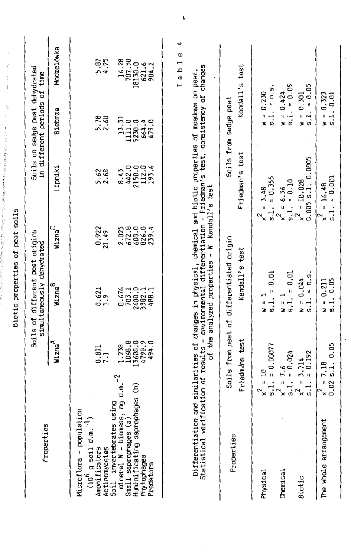|                                                                                                                                                    |                                                                        |                                               | Biotic properties of                                         | peat soils                                  |                                                                                                                                                                        |                                                                |                                                          |
|----------------------------------------------------------------------------------------------------------------------------------------------------|------------------------------------------------------------------------|-----------------------------------------------|--------------------------------------------------------------|---------------------------------------------|------------------------------------------------------------------------------------------------------------------------------------------------------------------------|----------------------------------------------------------------|----------------------------------------------------------|
| Properties                                                                                                                                         |                                                                        |                                               | Soils of different peat origins<br>simultaneously dehydrated |                                             |                                                                                                                                                                        | Soils on sedge peat dehydrated<br>in different periods of time |                                                          |
|                                                                                                                                                    |                                                                        | Wizna <sup>A</sup>                            | Wizna <sup>8</sup>                                           | Wizna <sup>C</sup>                          | Lipniki                                                                                                                                                                | <b>Biebrza</b>                                                 | Modzelówka                                               |
| Ĕθ<br>Microflora - populat<br>$\vec{r}$<br>$\left(10^6$ g soil d.m.<br>Amonificators<br>Actinomycetes                                              |                                                                        | 0.871                                         | $0.621$<br>$1.9$                                             | 0.922<br>21.49                              | 5.62<br>2.68                                                                                                                                                           | 5.78                                                           | 5.87<br>4.25                                             |
| mineral N - biomass, mg d.m.<br>Huminificating saprophages (b)<br>using<br>Small saprophages (a)<br>Soil invertebrates<br>Phytophages<br>Predators | 7                                                                      | 4798.9<br>494.0<br>1068.8<br>13600.0<br>1.238 | 0.676<br>2600.0<br>3382.1<br>703.1<br>488.1                  | $2.025$<br>672.8<br>600.0<br>826.0<br>239.4 | $\frac{8.43}{442.0}$<br>2150.0<br>112.0<br>193.6                                                                                                                       | 13.31<br>1111.0<br>5230.0<br>479.0<br>664.4                    | 16.28<br>18130.0<br>621.6<br>984.2                       |
| Statistical verification of results -<br>Differentiation                                                                                           |                                                                        |                                               |                                                              |                                             | environmental differentiation - Friedman's test, consistency of changes<br>and similarities of changes in physical, chemical and biotic properties of meadows on peat. |                                                                | 4<br>ω<br>⊣<br>$\overline{\phantom{a}}$<br>$\sigma$<br>⊢ |
|                                                                                                                                                    |                                                                        | ដ                                             | the analyzed properties -                                    | z                                           | Kendall's test                                                                                                                                                         |                                                                |                                                          |
| Properties                                                                                                                                         | Friedmans test                                                         |                                               | Soils from peat of differentiated origin<br>Kendall's test   |                                             | Friedman's test                                                                                                                                                        | Kendall's<br>Soils from sedge peat                             | test                                                     |
| Physical                                                                                                                                           | $= 10$<br>$\frac{1}{9}$ .<br>$x^2$                                     | $= 0.00077$                                   | 0.01<br>$\mathbf{u}$<br>п<br>$\overline{\phantom{a}}$<br>3   |                                             | $= 0.355$<br>3.48<br>11<br>$\frac{1}{5}$ .<br>$\mathbf{r}^2$                                                                                                           | $= 0.5$<br>0.250<br>$\frac{1}{2}$ .<br>u,<br>z                 |                                                          |
| Chemical                                                                                                                                           | $= 0.024$<br>6. آ<br>a<br>$\frac{1}{5}$<br>$\sim_{\times}$             |                                               | $= 0.01$<br>5.1.<br>з                                        |                                             | $= 0.10$<br>$= 6.36$<br>$\frac{1}{3}$ .<br>$\sim_{\times}$                                                                                                             | 0.424<br>$\ddot{5}$ .<br>ı,<br>z                               | $= 0.05$                                                 |
| <b>Biotic</b>                                                                                                                                      | $= 0.192$<br>3.714<br>$\mathbf{u}$<br>$\frac{1}{5}$<br>$\sim_{\times}$ |                                               | $= 0.5$<br>0.044<br>5.1.<br>11<br>z                          |                                             | 0.005 s.1. 0.0005<br>$= 10.028$<br>$\sim_{\mathsf{x}}$                                                                                                                 | 0.301<br>$\overline{a}$<br>Ħ.<br>ີ<br>z                        | $= 0.05$                                                 |
| The whole arrangement                                                                                                                              | $= 7.18$<br>$x^2$<br>0.02                                              | 5.1.0.05                                      | $M = 0.211$<br>5.1. 0.05<br>0.211                            |                                             | $= 0.001$<br>16.48<br>$\mathbf{u}$<br>$\frac{1}{5}$ .<br>$\overline{\phantom{a}}^2$                                                                                    | 0.323<br>0.01<br>$\ddot{5}$ .<br>H<br>z                        |                                                          |
|                                                                                                                                                    |                                                                        |                                               |                                                              |                                             |                                                                                                                                                                        |                                                                |                                                          |

- Second Belle With Sales Second Project And Second Project Second Second Second Second Second Project Second Project Second Project Second Second Second Second Second Second Second Second Second Second Second Second Sec 'Contrast the contrast of the contrast of the contrast of the contrast of the contrast of the contrast of the contrast of the contrast of the contrast of the contrast of the contrast of the contrast of the contrast of the MAG - CANC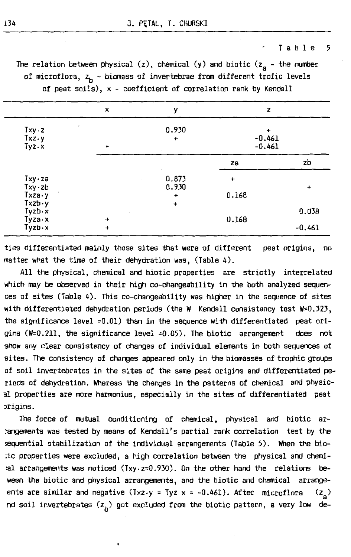#### Tahle<sub>5</sub>

The relation between physical (z), chemical (y) and biotic ( $z<sub>a</sub>$  - the number of microflora,  $z_{b}$  - biomass of invertebrae from different trofic levels of peat soils), x - coefficient of correlation rank by Kendall

|                                              | ×         | ν                                                       | z                  |           |
|----------------------------------------------|-----------|---------------------------------------------------------|--------------------|-----------|
| Txy . z<br>$Txz \cdot y$<br>$Tyz \cdot x$    | $\ddot{}$ | 0.930<br>$\ddot{}$<br>$-0.461$<br>$\ddot{}$<br>$-0.461$ |                    |           |
|                                              |           |                                                         | za                 | zb        |
| Txy·za<br>$Txy \cdot zb$<br>Txza y           |           | 0.873<br>0.930<br>$\ddot{}$                             | $\ddot{}$<br>0.168 | $\ddot{}$ |
| $Txzb \cdot y$<br>$Tyzb \cdot x$<br>Tyza · x | $\ddot{}$ | $\ddot{}$                                               | 0.168              | 0.038     |
| Tyzb·x                                       | $\ddot{}$ |                                                         |                    | $-0.461$  |

ties differentiated mainly those sites that **were** of different peat origins, no matter what the time of their dehydration was, (Table 4).

All the physical, chemical and biotic properties are strictly interrelated which may be observed in their high co-changeability in the both analyzed sequences of sites (Table 4). This co-changeability was higher in the sequence of sites with differentiated dehydration periods (the **W** Kendall consistancy test **W=0.323,**  the significance level =O.Ol) than in the sequence with differentiated peat origins (W=0.211, the significance level =0.05). The biotic arrangement does not show any elear consistency of changes of individual elements in both sequences of sites. The consistency of changes appeared only in the biomasses of trophic groups of soil invertebrates in the sites of the same peat origins and differentiated periods of dehydration. Whereas the changes in the patterns of chemical and physical properties are mare harmonius, especially in the sites of differentiated peat Jrigins.

The force of mutual oonditioning of chemical, physical and biotic ar- :angements was tested by means of Kendall's partial rank correlation test by the ;equential stabilization of the individual arrangements (Table 5). When the bio- :ic properties were excluded, a high correlation between the physical and chemi  $a$ l arrangements was noticed (Txy.z=0.930). On the other hand the relations beween the biotic and physical arrangements, and the biotic and chemical arrangeents are similar and negative  $(Txz \cdot y = Tyz \times z - 0.461)$ . After microflora  $(z_2)$ nd soil invertebrates  $(z_h)$  got excluded from the biotic pattern, a very low de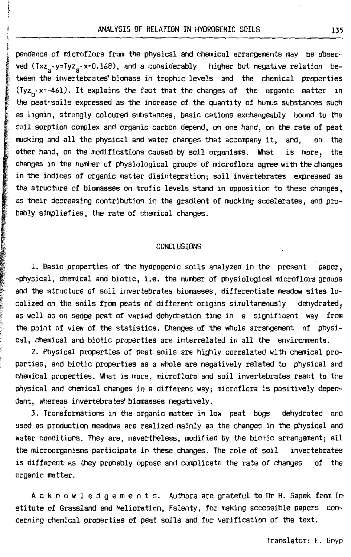pendence of microflora from the physical and chemical arrangements may be observed  $(Txz_a \cdot y = Tyz_a \cdot x = 0.168)$ , and a considerably higher but negative relation between the invertebrates' biomass in trophic levels and the chemical properties  $(Tyz_h \cdot x=-461)$ . It explains the fact that the changes of the organic matter in the peat·soils expressed as the increase of the quantity of humus substances such as lignin, strongly coloured substances, basic cations exchangeably bound to the<br>soil sorption complex and organic carbon depend, on one hand, on the rate of peat mucking and all the physical and water changes that accompany it, and, on the ' other hand, on the modifications caused by soil organisms. What is mare, the changes in the number of physiological groups of microflora agree with the changes in the indices of organic matter disintegration; soil invertebrates expressed as *i* the structure of biomasses on trafie levels stand in opposition to these changes, as their decreasing contribution in the gradient of mucking accelerates, and prabably simpliefies, the rate of chemical changes.

#### **CONCLUSIONS**

1. Basic properties of the hydrogenic soils analyzed in the present paper, -physical, chemical and biotic, i.e. the number of physiological microflora groups and the structure of soil invertebrates biomasses, differentiate meadow sites localized on the soils from peats of different origins simultaneously dehydrated, as well as on sedge peat of varied dehydration time in a significant way from the point of view of the statistics. Changes of the whole arrangement of physical, chemical and biotic properties are interrelated in all the environments.

2. Physical properties of peat soils are highly correlated with chemical properties, and biotic properties as a whole are negatively related to physical and chemical properties. What is mare, microflora and soil invertebrates react to the physical and chemical changes in a different way; microflora is positively dependant, whereas invertebrates' biomasses negatively.

3. Transformations in the organie matter in low peat bogs dehydrated and used as production meadows are realized mainly as the changes in the physical and **water** conditions. They are, nevertheless, modified by the biotic arrangement; all the microorganisms participate in these changes. The role of soil invertebrates is different as they probably oppose and complicate the rate of changes of the organie matter.

Ac know 1 e dg em en t s. Authors are grateful to Or B. Sapek from Institute of Grassland and Melioration, Falenty, for making accessible papers concerning chemical properties of peat soils and for verification of the text.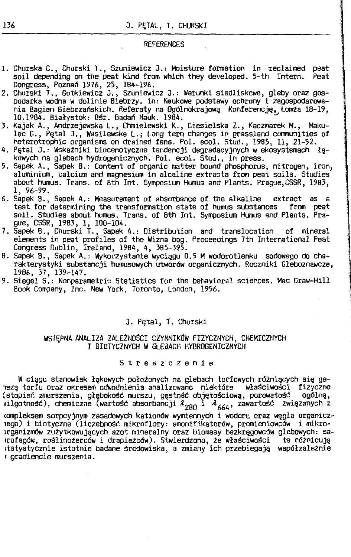#### REFERENCES

- 1. Churska C., Churski T., Szuniewicz J.: Moisture formation in :reclaimed peat soil depending on the peat kind from which they developed. 5-th Intern. Congress, Poznań 1976, 25, 184-196.
- 2. Churski T., Gotkiewicz J., Szuniewicz J.: Warunki siedliskowe, gleby oraz gospodarka wodna w dolinie Biebrzy. in: Naukowe podstawy ochrony i zagospodarowania Bagien Biebrzańskich. Referaty na Ogólnokrajową Konferencję, Łomża 18-19, 10.1984. Białystok: Ośr. Badań Nauk. 1984. <sup>~</sup>
- 3. Kajak A., Andrzejewska L., Chmielewski K., Ciesielska z., Kaczmarek M., Makulec G., Pętał J., Wasilewska L.; Long term changes in grassland coomunities of heterotrophic organisms on drained fens. Pol. ecol. Stud., 1985, 11, 21-52.
- 4. Pętał J.: Wskatniki biocenotyczne tendencji degradacyjnych **w** ekosystemach łę-
- 5. Sapek A., Sapek B.: Content of organic matter bound phosphorus, nitrogen, iron, aluminium, calcium and magnesium in alcaline extracta from peat soils. Studies about humus. Trans. of 8th Int. Symposium Humus and Plants. Prague,CSSR, 1983, 1, 96-99.
- 6. Sapek 8., Sapek A.: Measurement of absorbance of the alkaline extract as a test for determining the transformation state of humus substances soil. Studies about humus. Trans. of 8th Int. Symposium Humus and Plants. Prague, CSSR, 1983, 1, 100-104.
- 7. Sapek 8., Churski T., Sapek A.: Distribution and translocation of minerał elements. in peat profiles of the **Wizna** bog. Proceedings 7th International **Peat**  Congress Dublin, Ireland, 1984, 4, 385-395.
- 8. Sapek B., Sapek A.: Wykorzystanie wyciągu 0.5 **M** wodorotlenku sodowego do charakterystyki substancji humusowych utworów organicznych. Roczniki Gleboznawcze, 1986, 37, 139-147.
- 9. Siegel S.: Nonparametric Statistics for the behavioral sciences. MacGraw-Hill Book Company, Inc. New York, Toronto, London, 1956.

#### J. Pętał, T. Churski

#### WSTĘPNA ANALIZA ZALEŻNOŚCI CZYNNIKÓW FIZYCZNYCH, CHEMICZNYCH I BIOTYCZNYCH W GLEBACH HYDROGENICZNYCH

#### S t r e s z c z e n i e

W ciągu stanowisk łękowych położonych na glebach torfowych różniących się ge- 1ezę torfu oraz okresem odwodnienia analizowano niektóre właściwości fizyczne (stopień zmurszenia, głębokość murszu, gęstość objętościową, porowatość vilgotność), chemiczne (wartość absorbancji  $\lambda_{280}$  i  $\lambda_{664}$ , zawartość związanych z

<ompleksem sorpcyjnym zasadowych kationów wymiennych i wodoru oraz węgla organicz-1ego) i biotyczne (liczebność mikroflory: amonifikatorów, promieniowców i mikro- >rganizmów zużytkowujących azot mineralny oraz biomasy bezkręgowców glebowych: sa-1rofagów, roślinożerców i drapieżców). Stwierdzono, że właściwości te różnicują ;tatystycznie istotnie badane środowiska, a zmiany ich przebiegają współzależnie , gradiencie murszenia.